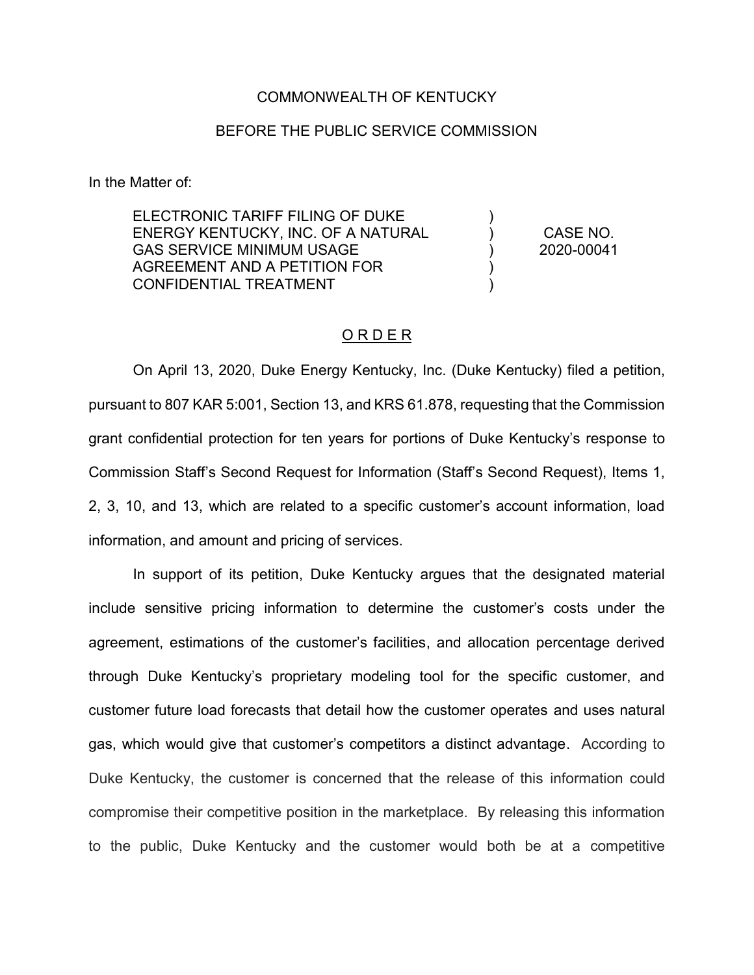## COMMONWEALTH OF KENTUCKY

## BEFORE THE PUBLIC SERVICE COMMISSION

In the Matter of:

ELECTRONIC TARIFF FILING OF DUKE ENERGY KENTUCKY, INC. OF A NATURAL GAS SERVICE MINIMUM USAGE AGREEMENT AND A PETITION FOR CONFIDENTIAL TREATMENT

CASE NO. 2020-00041

)  $\lambda$  $\lambda$ ) )

## O R D E R

On April 13, 2020, Duke Energy Kentucky, Inc. (Duke Kentucky) filed a petition, pursuant to 807 KAR 5:001, Section 13, and KRS 61.878, requesting that the Commission grant confidential protection for ten years for portions of Duke Kentucky's response to Commission Staff's Second Request for Information (Staff's Second Request), Items 1, 2, 3, 10, and 13, which are related to a specific customer's account information, load information, and amount and pricing of services.

In support of its petition, Duke Kentucky argues that the designated material include sensitive pricing information to determine the customer's costs under the agreement, estimations of the customer's facilities, and allocation percentage derived through Duke Kentucky's proprietary modeling tool for the specific customer, and customer future load forecasts that detail how the customer operates and uses natural gas, which would give that customer's competitors a distinct advantage. According to Duke Kentucky, the customer is concerned that the release of this information could compromise their competitive position in the marketplace. By releasing this information to the public, Duke Kentucky and the customer would both be at a competitive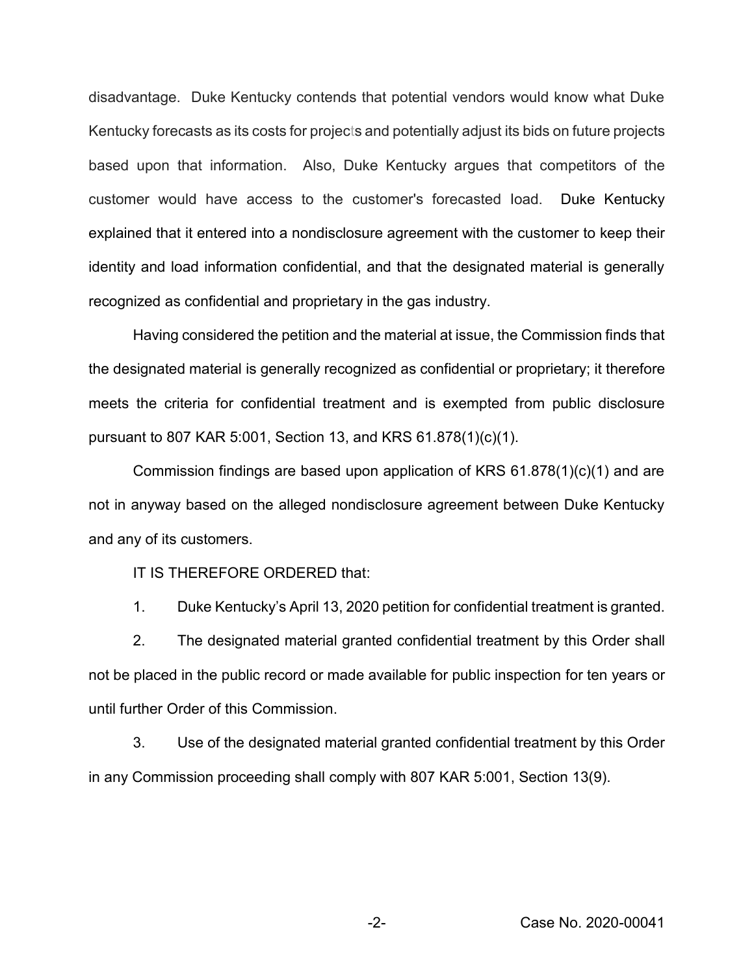disadvantage. Duke Kentucky contends that potential vendors would know what Duke Kentucky forecasts as its costs for projects and potentially adjust its bids on future projects based upon that information. Also, Duke Kentucky argues that competitors of the customer would have access to the customer's forecasted Ioad. Duke Kentucky explained that it entered into a nondisclosure agreement with the customer to keep their identity and load information confidential, and that the designated material is generally recognized as confidential and proprietary in the gas industry.

Having considered the petition and the material at issue, the Commission finds that the designated material is generally recognized as confidential or proprietary; it therefore meets the criteria for confidential treatment and is exempted from public disclosure pursuant to 807 KAR 5:001, Section 13, and KRS 61.878(1)(c)(1).

Commission findings are based upon application of KRS 61.878(1)(c)(1) and are not in anyway based on the alleged nondisclosure agreement between Duke Kentucky and any of its customers.

IT IS THEREFORE ORDERED that:

1. Duke Kentucky's April 13, 2020 petition for confidential treatment is granted.

2. The designated material granted confidential treatment by this Order shall not be placed in the public record or made available for public inspection for ten years or until further Order of this Commission.

3. Use of the designated material granted confidential treatment by this Order in any Commission proceeding shall comply with 807 KAR 5:001, Section 13(9).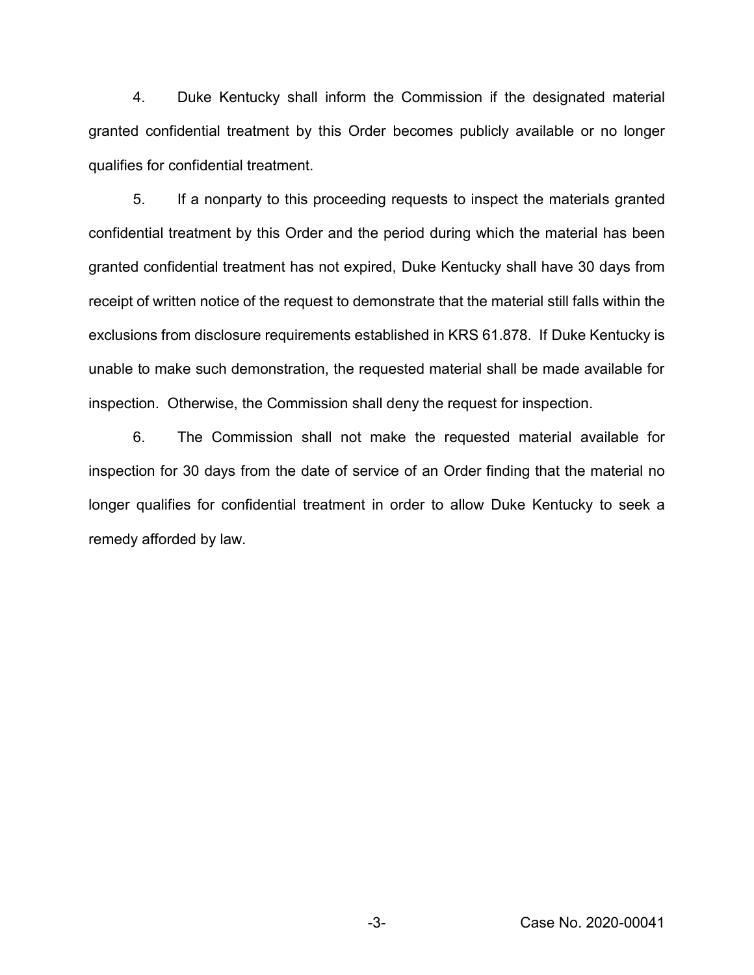4. Duke Kentucky shall inform the Commission if the designated material granted confidential treatment by this Order becomes publicly available or no longer qualifies for confidential treatment.

5. If a nonparty to this proceeding requests to inspect the materials granted confidential treatment by this Order and the period during which the material has been granted confidential treatment has not expired, Duke Kentucky shall have 30 days from receipt of written notice of the request to demonstrate that the material still falls within the exclusions from disclosure requirements established in KRS 61.878. If Duke Kentucky is unable to make such demonstration, the requested material shall be made available for inspection. Otherwise, the Commission shall deny the request for inspection.

6. The Commission shall not make the requested material available for inspection for 30 days from the date of service of an Order finding that the material no longer qualifies for confidential treatment in order to allow Duke Kentucky to seek a remedy afforded by law.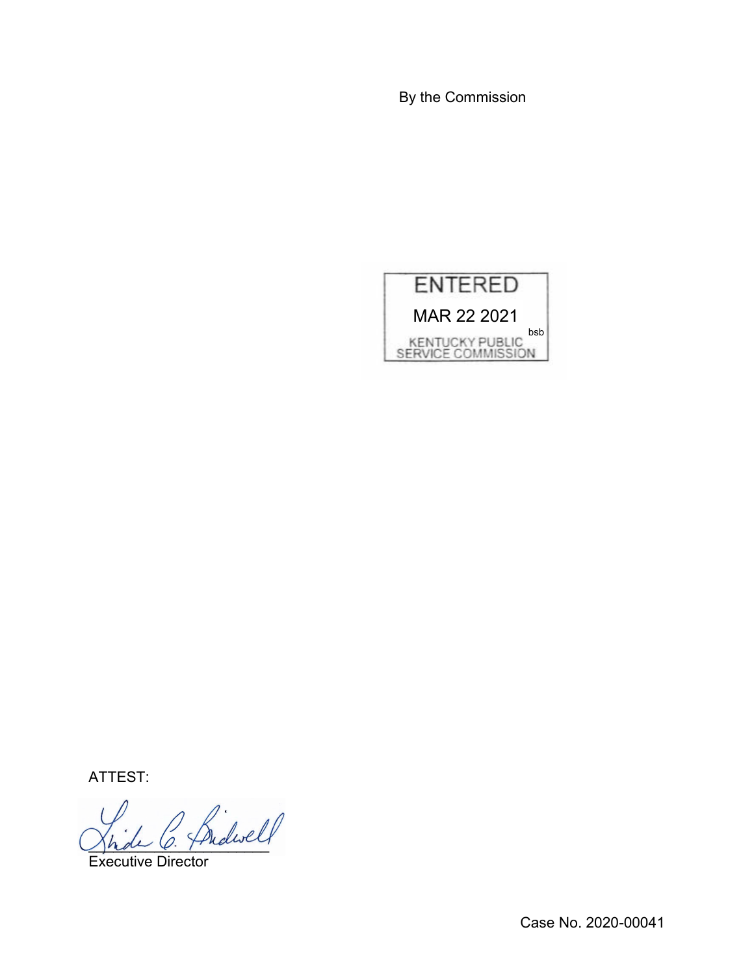By the Commission



ATTEST:

Jhde O. Fridancy

Executive Director

Case No. 2020-00041